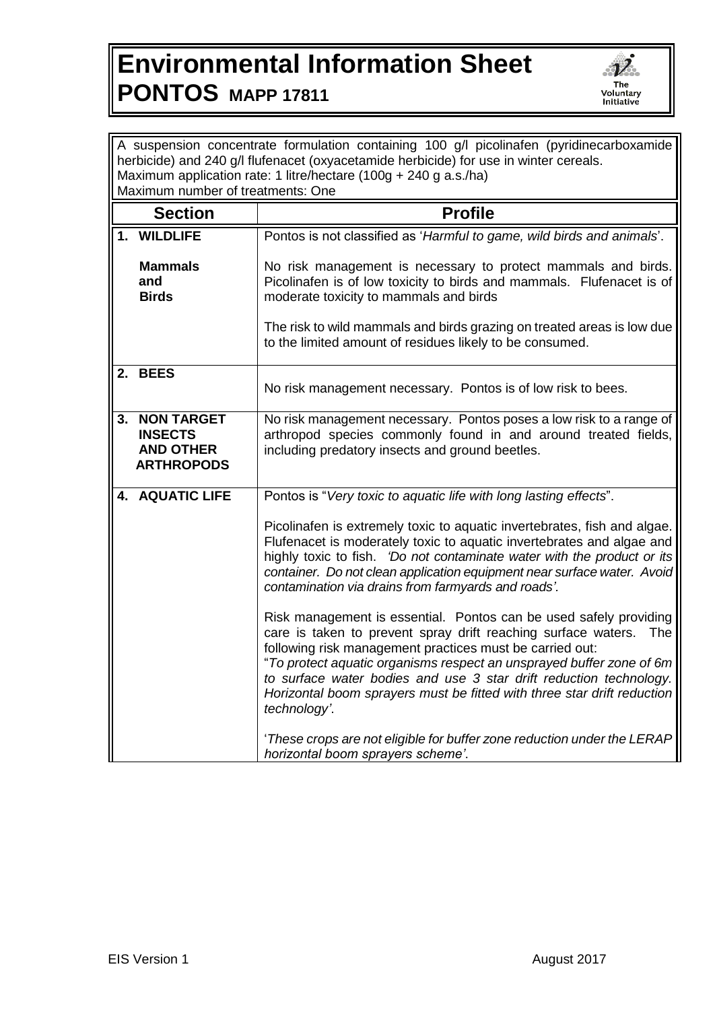## **Environmental Information Sheet PONTOS MAPP 17811**



| A suspension concentrate formulation containing 100 g/l picolinafen (pyridinecarboxamide                                                                  |                                                                              |                                                                                                                                                                                                                                                                                                                                                                                                                                                |
|-----------------------------------------------------------------------------------------------------------------------------------------------------------|------------------------------------------------------------------------------|------------------------------------------------------------------------------------------------------------------------------------------------------------------------------------------------------------------------------------------------------------------------------------------------------------------------------------------------------------------------------------------------------------------------------------------------|
| herbicide) and 240 g/l flufenacet (oxyacetamide herbicide) for use in winter cereals.<br>Maximum application rate: 1 litre/hectare (100g + 240 g a.s./ha) |                                                                              |                                                                                                                                                                                                                                                                                                                                                                                                                                                |
| Maximum number of treatments: One                                                                                                                         |                                                                              |                                                                                                                                                                                                                                                                                                                                                                                                                                                |
|                                                                                                                                                           | <b>Section</b>                                                               | <b>Profile</b>                                                                                                                                                                                                                                                                                                                                                                                                                                 |
|                                                                                                                                                           | 1. WILDLIFE                                                                  | Pontos is not classified as 'Harmful to game, wild birds and animals'.                                                                                                                                                                                                                                                                                                                                                                         |
|                                                                                                                                                           | <b>Mammals</b><br>and<br><b>Birds</b>                                        | No risk management is necessary to protect mammals and birds.<br>Picolinafen is of low toxicity to birds and mammals. Flufenacet is of<br>moderate toxicity to mammals and birds                                                                                                                                                                                                                                                               |
|                                                                                                                                                           |                                                                              | The risk to wild mammals and birds grazing on treated areas is low due<br>to the limited amount of residues likely to be consumed.                                                                                                                                                                                                                                                                                                             |
| 2.                                                                                                                                                        | <b>BEES</b>                                                                  | No risk management necessary. Pontos is of low risk to bees.                                                                                                                                                                                                                                                                                                                                                                                   |
| 3.                                                                                                                                                        | <b>NON TARGET</b><br><b>INSECTS</b><br><b>AND OTHER</b><br><b>ARTHROPODS</b> | No risk management necessary. Pontos poses a low risk to a range of<br>arthropod species commonly found in and around treated fields,<br>including predatory insects and ground beetles.                                                                                                                                                                                                                                                       |
|                                                                                                                                                           | 4. AQUATIC LIFE                                                              | Pontos is "Very toxic to aquatic life with long lasting effects".                                                                                                                                                                                                                                                                                                                                                                              |
|                                                                                                                                                           |                                                                              | Picolinafen is extremely toxic to aquatic invertebrates, fish and algae.<br>Flufenacet is moderately toxic to aquatic invertebrates and algae and<br>highly toxic to fish. 'Do not contaminate water with the product or its<br>container. Do not clean application equipment near surface water. Avoid<br>contamination via drains from farmyards and roads'.                                                                                 |
|                                                                                                                                                           |                                                                              | Risk management is essential. Pontos can be used safely providing<br>care is taken to prevent spray drift reaching surface waters.<br>The<br>following risk management practices must be carried out:<br>"To protect aquatic organisms respect an unsprayed buffer zone of 6m<br>to surface water bodies and use 3 star drift reduction technology.<br>Horizontal boom sprayers must be fitted with three star drift reduction<br>technology'. |
|                                                                                                                                                           |                                                                              | 'These crops are not eligible for buffer zone reduction under the LERAP<br>horizontal boom sprayers scheme'.                                                                                                                                                                                                                                                                                                                                   |